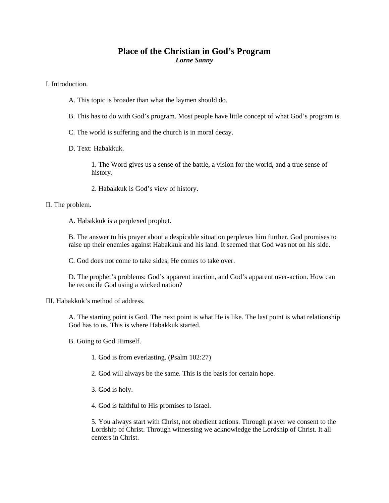# **Place of the Christian in God's Program**  *Lorne Sanny*

I. Introduction.

- A. This topic is broader than what the laymen should do.
- B. This has to do with God's program. Most people have little concept of what God's program is.
- C. The world is suffering and the church is in moral decay.
- D. Text: Habakkuk.

1. The Word gives us a sense of the battle, a vision for the world, and a true sense of history.

2. Habakkuk is God's view of history.

#### II. The problem.

A. Habakkuk is a perplexed prophet.

B. The answer to his prayer about a despicable situation perplexes him further. God promises to raise up their enemies against Habakkuk and his land. It seemed that God was not on his side.

C. God does not come to take sides; He comes to take over.

D. The prophet's problems: God's apparent inaction, and God's apparent over-action. How can he reconcile God using a wicked nation?

III. Habakkuk's method of address.

A. The starting point is God. The next point is what He is like. The last point is what relationship God has to us. This is where Habakkuk started.

B. Going to God Himself.

- 1. God is from everlasting. (Psalm 102:27)
- 2. God will always be the same. This is the basis for certain hope.
- 3. God is holy.
- 4. God is faithful to His promises to Israel.

5. You always start with Christ, not obedient actions. Through prayer we consent to the Lordship of Christ. Through witnessing we acknowledge the Lordship of Christ. It all centers in Christ.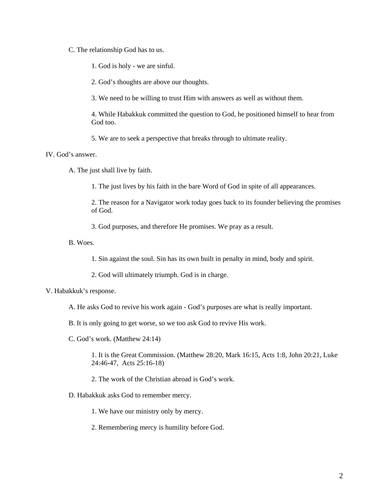C. The relationship God has to us.

1. God is holy - we are sinful.

2. God's thoughts are above our thoughts.

3. We need to be willing to trust Him with answers as well as without them.

4. While Habakkuk committed the question to God, he positioned himself to hear from God too.

5. We are to seek a perspective that breaks through to ultimate reality.

### IV. God's answer.

A. The just shall live by faith.

1. The just lives by his faith in the bare Word of God in spite of all appearances.

2. The reason for a Navigator work today goes back to its founder believing the promises of God.

3. God purposes, and therefore He promises. We pray as a result.

B. Woes.

1. Sin against the soul. Sin has its own built in penalty in mind, body and spirit.

2. God will ultimately triumph. God is in charge.

### V. Habakkuk's response.

- A. He asks God to revive his work again God's purposes are what is really important.
- B. It is only going to get worse, so we too ask God to revive His work.
- C. God's work. (Matthew 24:14)

1. It is the Great Commission. (Matthew 28:20, Mark 16:15, Acts 1:8, John 20:21, Luke 24:46-47, Acts 25:16-18)

2. The work of the Christian abroad is God's work.

- D. Habakkuk asks God to remember mercy.
	- 1. We have our ministry only by mercy.
	- 2. Remembering mercy is humility before God.